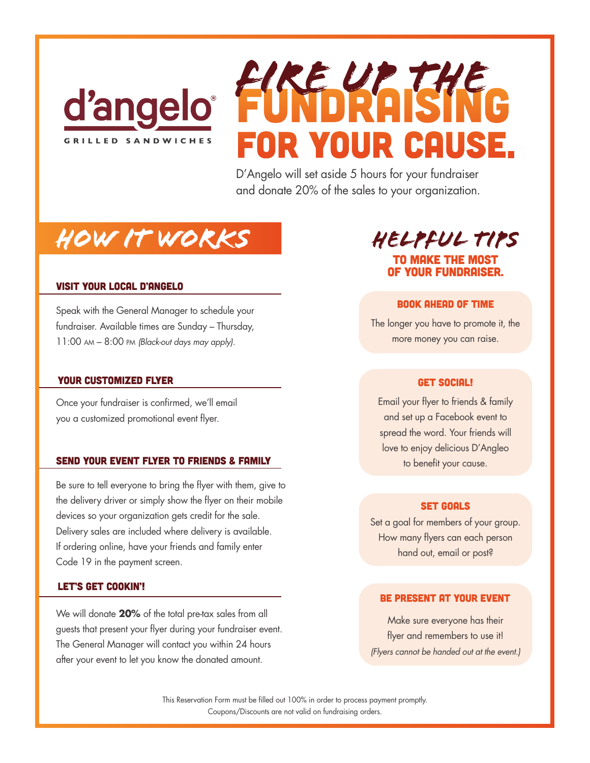

FUNDRAISING FOR YOUR CAUSE. *FIRE UP THE*

D'Angelo will set aside 5 hours for your fundraiser and donate 20% of the sales to your organization.

# *HOW IT WORKS*

## VISIT YOUR LOCAL D'ANGELO

Speak with the General Manager to schedule your fundraiser. Available times are Sunday – Thursday, 11:00 am – 8:00 pm *(Black-out days may apply).*

#### YOUR CUSTOMIZED FLYER

Once your fundraiser is confirmed, we'll email you a customized promotional event flyer.

#### SEND YOUR EVENT FLYER TO FRIENDS & FAMILY

Be sure to tell everyone to bring the flyer with them, give to the delivery driver or simply show the flyer on their mobile devices so your organization gets credit for the sale. Delivery sales are included where delivery is available. If ordering online, have your friends and family enter Code 19 in the payment screen.

## LET'S GET COOKIN'!

We will donate **20%** of the total pre-tax sales from all guests that present your flyer during your fundraiser event. The General Manager will contact you within 24 hours after your event to let you know the donated amount.

*HELPFUL TIPS* TO MAKE THE MOST OF YOUR FUNDRAISER.

#### BOOK AHEAD OF TIME

The longer you have to promote it, the more money you can raise.

# GET SOCIAL!

Email your flyer to friends & family and set up a Facebook event to spread the word. Your friends will love to enjoy delicious D'Angleo to benefit your cause.

### **SET GOALS**

Set a goal for members of your group. How many flyers can each person hand out, email or post?

## BE PRESENT AT YOUR EVENT

Make sure everyone has their flyer and remembers to use it! *(Flyers cannot be handed out at the event.)*

This Reservation Form must be filled out 100% in order to process payment promptly. Coupons/Discounts are not valid on fundraising orders.